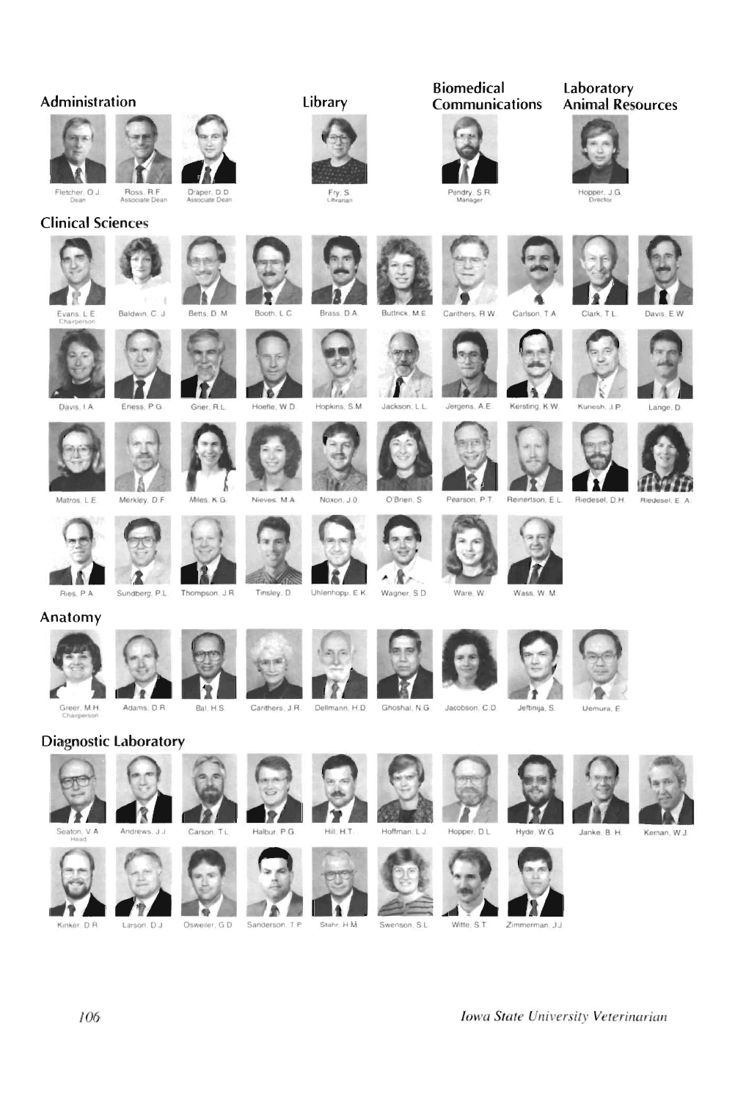